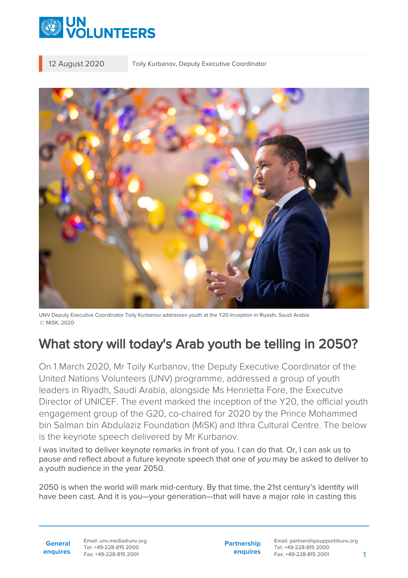

12 August 2020 Toily Kurbanov, Deputy Executive Coordinator

UNV Deputy Executive Coordinator Toily Kurbanov addresses youth at the Y20 Inception in Riyadh, Saudi Arabia. © MiSK, 2020

## What story will today's Arab youth be telling in 2050?

On 1 March 2020, Mr Toily Kurbanov, the Deputy Executive Coordinator of the United Nations Volunteers (UNV) programme, addressed a group of youth leaders in Riyadh, Saudi Arabia, alongside Ms Henrietta Fore, the Executve Director of UNICEF. The event marked the inception of the Y20, the official youth engagement group of the G20, co-chaired for 2020 by the Prince Mohammed bin Salman bin Abdulaziz Foundation (MiSK) and Ithra Cultural Centre. The below is the keynote speech delivered by Mr Kurbanov.

I was invited to deliver keynote remarks in front of you. I can do that. Or, I can ask us to pause and reflect about a future keynote speech that one of you may be asked to deliver to a youth audience in the year 2050.

2050 is when the world will mark mid-century. By that time, the 21st century's identity will have been cast. And it is you—your generation—that will have a major role in casting this

Email: unv.media@unv.org Tel: +49-228-815 2000 Fax: +49-228-815 2001

**Partnership enquires**

Email: partnershipsupport@unv.org Tel: +49-228-815 2000 Fax: +49-228-815 2001 1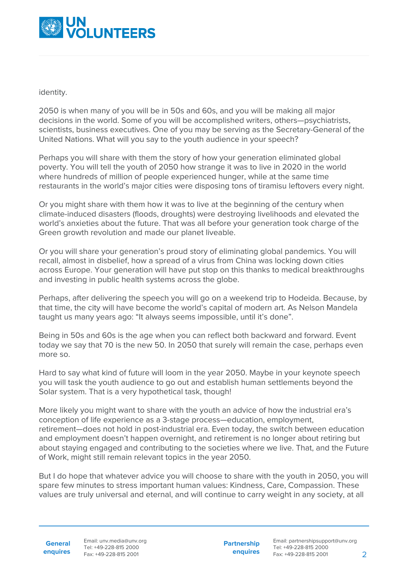

identity.

2050 is when many of you will be in 50s and 60s, and you will be making all major decisions in the world. Some of you will be accomplished writers, others—psychiatrists, scientists, business executives. One of you may be serving as the Secretary-General of the United Nations. What will you say to the youth audience in your speech?

Perhaps you will share with them the story of how your generation eliminated global poverty. You will tell the youth of 2050 how strange it was to live in 2020 in the world where hundreds of million of people experienced hunger, while at the same time restaurants in the world's major cities were disposing tons of tiramisu leftovers every night.

Or you might share with them how it was to live at the beginning of the century when climate-induced disasters (floods, droughts) were destroying livelihoods and elevated the world's anxieties about the future. That was all before your generation took charge of the Green growth revolution and made our planet liveable.

Or you will share your generation's proud story of eliminating global pandemics. You will recall, almost in disbelief, how a spread of a virus from China was locking down cities across Europe. Your generation will have put stop on this thanks to medical breakthroughs and investing in public health systems across the globe.

Perhaps, after delivering the speech you will go on a weekend trip to Hodeida. Because, by that time, the city will have become the world's capital of modern art. As Nelson Mandela taught us many years ago: "It always seems impossible, until it's done".

Being in 50s and 60s is the age when you can reflect both backward and forward. Event today we say that 70 is the new 50. In 2050 that surely will remain the case, perhaps even more so.

Hard to say what kind of future will loom in the year 2050. Maybe in your keynote speech you will task the youth audience to go out and establish human settlements beyond the Solar system. That is a very hypothetical task, though!

More likely you might want to share with the youth an advice of how the industrial era's conception of life experience as a 3-stage process—education, employment, retirement—does not hold in post-industrial era. Even today, the switch between education and employment doesn't happen overnight, and retirement is no longer about retiring but about staying engaged and contributing to the societies where we live. That, and the Future of Work, might still remain relevant topics in the year 2050.

But I do hope that whatever advice you will choose to share with the youth in 2050, you will spare few minutes to stress important human values: Kindness, Care, Compassion. These values are truly universal and eternal, and will continue to carry weight in any society, at all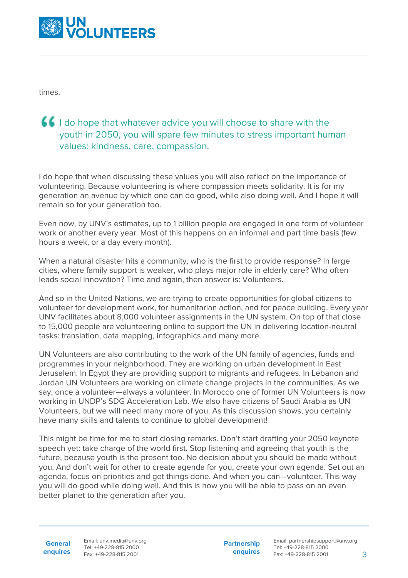

times.

## **I** I do hope that whatever advice you will choose to share with the youth in 2050, you will spare few minutes to stress important human values: kindness, care, compassion.

I do hope that when discussing these values you will also reflect on the importance of volunteering. Because volunteering is where compassion meets solidarity. It is for my generation an avenue by which one can do good, while also doing well. And I hope it will remain so for your generation too.

Even now, by UNV's estimates, up to 1 billion people are engaged in one form of volunteer work or another every year. Most of this happens on an informal and part time basis (few hours a week, or a day every month).

When a natural disaster hits a community, who is the first to provide response? In large cities, where family support is weaker, who plays major role in elderly care? Who often leads social innovation? Time and again, then answer is: Volunteers.

And so in the United Nations, we are trying to create opportunities for global citizens to volunteer for development work, for humanitarian action, and for peace building. Every year UNV facilitates about 8,000 volunteer assignments in the UN system. On top of that close to 15,000 people are volunteering online to support the UN in delivering location-neutral tasks: translation, data mapping, infographics and many more.

UN Volunteers are also contributing to the work of the UN family of agencies, funds and programmes in your neighborhood. They are working on urban development in East Jerusalem. In Egypt they are providing support to migrants and refugees. In Lebanon and Jordan UN Volunteers are working on climate change projects in the communities. As we say, once a volunteer—always a volunteer. In Morocco one of former UN Volunteers is now working in UNDP's SDG Acceleration Lab. We also have citizens of Saudi Arabia as UN Volunteers, but we will need many more of you. As this discussion shows, you certainly have many skills and talents to continue to global development!

This might be time for me to start closing remarks. Don't start drafting your 2050 keynote speech yet: take charge of the world first. Stop listening and agreeing that youth is the future, because youth is the present too. No decision about you should be made without you. And don't wait for other to create agenda for you, create your own agenda. Set out an agenda, focus on priorities and get things done. And when you can—volunteer. This way you will do good while doing well. And this is how you will be able to pass on an even better planet to the generation after you.

**General**

**enquires** Tel: +49-228-815 2000 Fax: +49-228-815 2001 Email: unv.media@unv.org<br>Tel: +49-228-815 2000

**Partnership enquires** Email: partnershipsupport@unv.org Tel: +49-228-815 2000 Fax: +49-228-815 2001 3